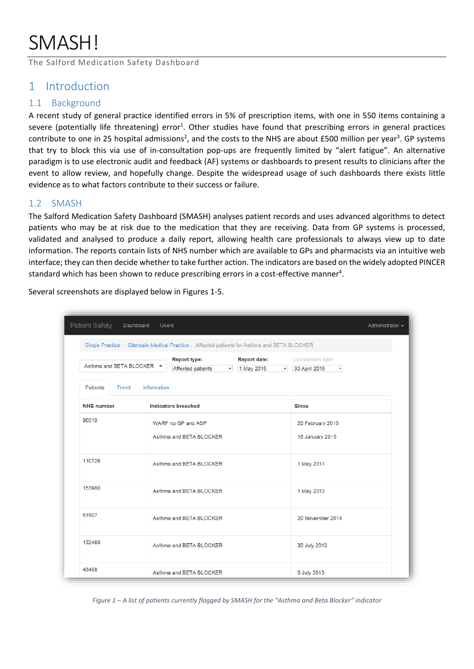# SMASH!

The Salford Medication Safety Dashboard

#### 1 Introduction

#### 1.1 Background

A recent study of general practice identified errors in 5% of prescription items, with one in 550 items containing a severe (potentially life threatening) error<sup>1</sup>. Other studies have found that prescribing errors in general practices contribute to one in 25 hospital admissions<sup>2</sup>, and the costs to the NHS are about £500 million per year<sup>3</sup>. GP systems that try to block this via use of in-consultation pop-ups are frequently limited by "alert fatigue". An alternative paradigm is to use electronic audit and feedback (AF) systems or dashboards to present results to clinicians after the event to allow review, and hopefully change. Despite the widespread usage of such dashboards there exists little evidence as to what factors contribute to their success or failure.

#### 1.2 SMASH

The Salford Medication Safety Dashboard (SMASH) analyses patient records and uses advanced algorithms to detect patients who may be at risk due to the medication that they are receiving. Data from GP systems is processed, validated and analysed to produce a daily report, allowing health care professionals to always view up to date information. The reports contain lists of NHS number which are available to GPs and pharmacists via an intuitive web interface; they can then decide whether to take further action. The indicators are based on the widely adopted PINCER standard which has been shown to reduce prescribing errors in a cost-effective manner<sup>4</sup>.

| Several screenshots are displayed below in Figures 1-5. |  |  |
|---------------------------------------------------------|--|--|
|                                                         |  |  |

| <b>Patient Safety</b><br>Dashboard | <b>Users</b>                                                                                                  | Administrator $\sim$                                    |
|------------------------------------|---------------------------------------------------------------------------------------------------------------|---------------------------------------------------------|
|                                    | Single Practice / Glendale Medical Practice / Affected patients for Asthma and BETA BLOCKER                   |                                                         |
| Asthma and BETA BLOCKER ▼          | <b>Report date:</b><br><b>Report type:</b><br>1 May 2015<br>Affected patients<br>$\mathbf{v}$<br>$\mathbf{v}$ | Comparison date:<br>30 April 2015<br>$\pmb{\mathrm{v}}$ |
| <b>Patients</b><br>Trend           | Information                                                                                                   |                                                         |
| <b>NHS</b> number                  | <b>Indicators breached</b>                                                                                    | <b>Since</b>                                            |
| 96510                              | WARF no GP and ASP<br>Asthma and BETA BLOCKER                                                                 | 20 February 2015<br>16 January 2015                     |
| 110726                             | Asthma and BETA BLOCKER                                                                                       | 1 May 2011                                              |
| 153980                             | Asthma and BETA BLOCKER                                                                                       | 1 May 2013                                              |
| 51507                              | Asthma and BETA BLOCKER                                                                                       | 20 November 2014                                        |
| 132469                             | Asthma and BETA BLOCKER                                                                                       | 30 July 2013                                            |
| 43458                              | Asthma and BETA BLOCKER                                                                                       | 9 July 2013                                             |

*Figure 1 – A list of patients currently flagged by SMASH for the "Asthma and Beta Blocker" indicator*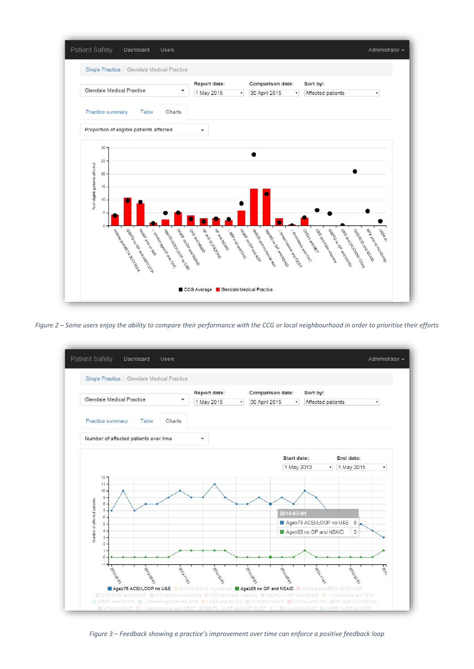

*Figure 2 – Some users enjoy the ability to compare their performance with the CCG or local neighbourhood in order to prioritise their efforts*



*Figure 3 – Feedback showing a practice's improvement over time can enforce a positive feedback loop*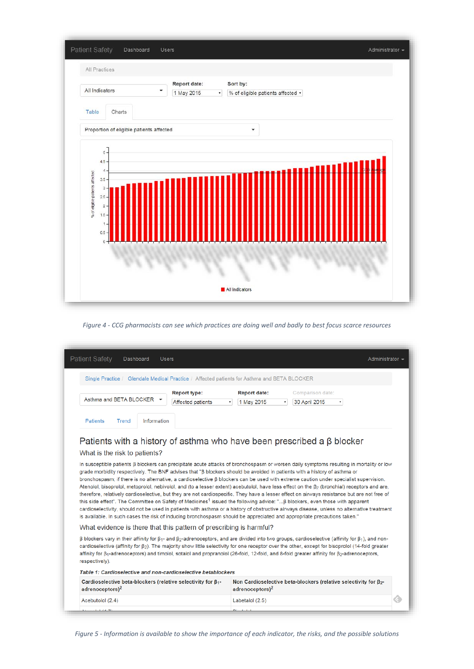

#### *Figure 4 - CCG pharmacists can see which practices are doing well and badly to best focus scarce resources*

| Single Practice / Glendale Medical Practice / Affected patients for Asthma and BETA BLOCKER                                                                                                                                                                                                                                                                                                                                                                                                                                                                                                                                                                                                                                                                                                                                                                                                                                                                                                 |                                                 |                                        |                                                                                                                                         |  |
|---------------------------------------------------------------------------------------------------------------------------------------------------------------------------------------------------------------------------------------------------------------------------------------------------------------------------------------------------------------------------------------------------------------------------------------------------------------------------------------------------------------------------------------------------------------------------------------------------------------------------------------------------------------------------------------------------------------------------------------------------------------------------------------------------------------------------------------------------------------------------------------------------------------------------------------------------------------------------------------------|-------------------------------------------------|----------------------------------------|-----------------------------------------------------------------------------------------------------------------------------------------|--|
| Asthma and BETA BLOCKER -                                                                                                                                                                                                                                                                                                                                                                                                                                                                                                                                                                                                                                                                                                                                                                                                                                                                                                                                                                   | <b>Report type:</b><br><b>Affected patients</b> | <b>Report date:</b><br>1 May 2015<br>۰ | Comparison date:<br>30 April 2015<br>$\mathbf{v}$                                                                                       |  |
| Information<br><b>Patients</b><br>Trend                                                                                                                                                                                                                                                                                                                                                                                                                                                                                                                                                                                                                                                                                                                                                                                                                                                                                                                                                     |                                                 |                                        |                                                                                                                                         |  |
| What is the risk to patients?                                                                                                                                                                                                                                                                                                                                                                                                                                                                                                                                                                                                                                                                                                                                                                                                                                                                                                                                                               |                                                 |                                        | In susceptible patients ß blockers can precipitate acute attacks of bronchospasm or worsen daily symptoms resulting in mortality or low |  |
| grade morbidity respectively. The BNF advises that "ß blockers should be avoided in patients with a history of asthma or<br>bronchospasm; if there is no alternative, a cardioselective ß blockers can be used with extreme caution under specialist supervision.<br>Atenolol, bisoprolol, metoprolol, nebivolol, and (to a lesser extent) acebutolol, have less effect on the $\beta_2$ (bronchial) receptors and are,<br>therefore, relatively cardioselective, but they are not cardiospecific. They have a lesser effect on airways resistance but are not free of<br>this side effect". The Committee on Safety of Medicines <sup>1</sup> issued the following advice: " B blockers, even those with apparent<br>cardioselectivity, should not be used in patients with asthma or a history of obstructive airways disease, unless no alternative treatment<br>is available. In such cases the risk of inducing bronchospasm should be appreciated and appropriate precautions taken." |                                                 |                                        |                                                                                                                                         |  |
| What evidence is there that this pattern of prescribing is harmful?                                                                                                                                                                                                                                                                                                                                                                                                                                                                                                                                                                                                                                                                                                                                                                                                                                                                                                                         |                                                 |                                        |                                                                                                                                         |  |
| $\beta$ blockers vary in their affinity for $\beta_1$ - and $\beta_2$ -adrenoceptors, and are divided into two groups, cardioselective (affinity for $\beta_1$ ), and non-<br>cardioselective (affinity for $\beta$ ). The majority show little selectivity for one receptor over the other, except for bisoprolol (14-fold greater<br>affinity for $\beta_1$ -adrenoceptors) and timolol, sotalol and propranolol (26-fold, 12-fold, and 8-fold greater affinity for $\beta_2$ -adrenoceptors,<br>respectively).                                                                                                                                                                                                                                                                                                                                                                                                                                                                           |                                                 |                                        |                                                                                                                                         |  |
| Table 1: Cardioselective and non-cardioselective betablockers                                                                                                                                                                                                                                                                                                                                                                                                                                                                                                                                                                                                                                                                                                                                                                                                                                                                                                                               |                                                 |                                        |                                                                                                                                         |  |
| Cardioselective beta-blockers (relative selectivity for $\beta_{1}$ -<br>adrenoceptors) <sup>2</sup>                                                                                                                                                                                                                                                                                                                                                                                                                                                                                                                                                                                                                                                                                                                                                                                                                                                                                        |                                                 | adrenoceptors $)^2$                    | Non Cardioselective beta-blockers (relative selectivity for $\beta_{2^*}$                                                               |  |

*Figure 5 - Information is available to show the importance of each indicator, the risks, and the possible solutions*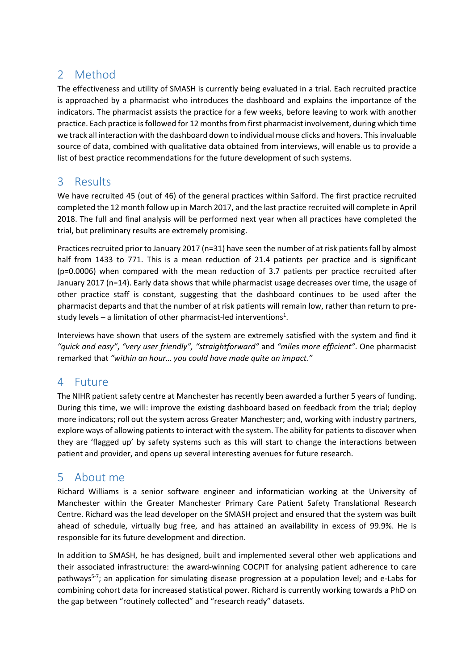# 2 Method

The effectiveness and utility of SMASH is currently being evaluated in a trial. Each recruited practice is approached by a pharmacist who introduces the dashboard and explains the importance of the indicators. The pharmacist assists the practice for a few weeks, before leaving to work with another practice. Each practice is followed for 12 months from first pharmacist involvement, during which time we track all interaction with the dashboard down to individual mouse clicks and hovers. This invaluable source of data, combined with qualitative data obtained from interviews, will enable us to provide a list of best practice recommendations for the future development of such systems.

## 3 Results

We have recruited 45 (out of 46) of the general practices within Salford. The first practice recruited completed the 12 month follow up in March 2017, and the last practice recruited will complete in April 2018. The full and final analysis will be performed next year when all practices have completed the trial, but preliminary results are extremely promising.

Practices recruited prior to January 2017 (n=31) have seen the number of at risk patients fall by almost half from 1433 to 771. This is a mean reduction of 21.4 patients per practice and is significant (p=0.0006) when compared with the mean reduction of 3.7 patients per practice recruited after January 2017 (n=14). Early data shows that while pharmacist usage decreases over time, the usage of other practice staff is constant, suggesting that the dashboard continues to be used after the pharmacist departs and that the number of at risk patients will remain low, rather than return to prestudy levels – a limitation of other pharmacist-led interventions<sup>1</sup>.

Interviews have shown that users of the system are extremely satisfied with the system and find it *"quick and easy"*, *"very user friendly", "straightforward"* and *"miles more efficient"*. One pharmacist remarked that *"within an hour… you could have made quite an impact."*

## 4 Future

The NIHR patient safety centre at Manchester has recently been awarded a further 5 years of funding. During this time, we will: improve the existing dashboard based on feedback from the trial; deploy more indicators; roll out the system across Greater Manchester; and, working with industry partners, explore ways of allowing patients to interact with the system. The ability for patients to discover when they are 'flagged up' by safety systems such as this will start to change the interactions between patient and provider, and opens up several interesting avenues for future research.

# 5 About me

Richard Williams is a senior software engineer and informatician working at the University of Manchester within the Greater Manchester Primary Care Patient Safety Translational Research Centre. Richard was the lead developer on the SMASH project and ensured that the system was built ahead of schedule, virtually bug free, and has attained an availability in excess of 99.9%. He is responsible for its future development and direction.

In addition to SMASH, he has designed, built and implemented several other web applications and their associated infrastructure: the award-winning COCPIT for analysing patient adherence to care pathways<sup>5-7</sup>; an application for simulating disease progression at a population level; and e-Labs for combining cohort data for increased statistical power. Richard is currently working towards a PhD on the gap between "routinely collected" and "research ready" datasets.